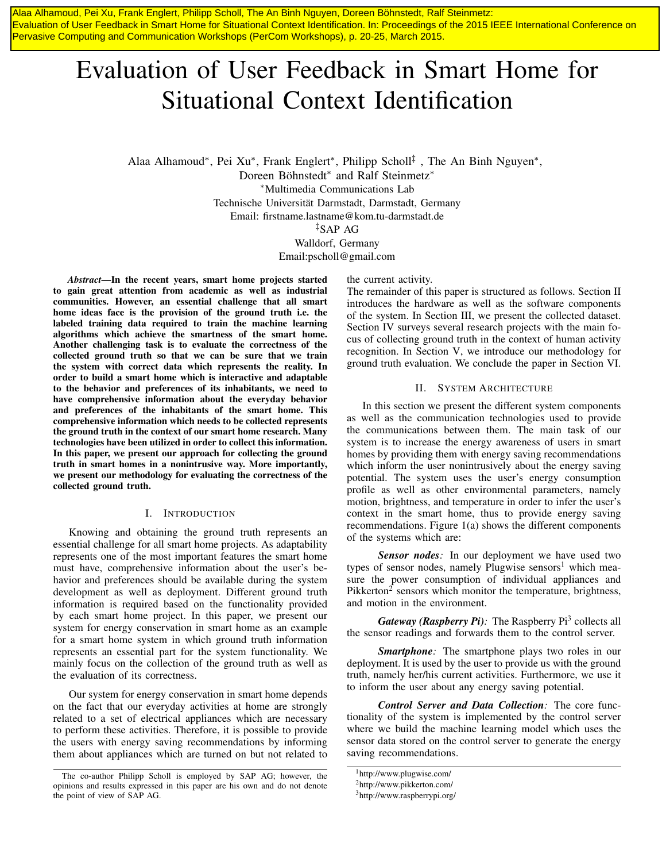Alaa Alhamoud, Pei Xu, Frank Englert, Philipp Scholl, The An Binh Nguyen, Doreen Böhnstedt, Ralf Steinmetz: Evaluation of User Feedback in Smart Home for Situational Context Identification. In: Proceedings of the 2015 IEEE International Conference on Pervasive Computing and Communication Workshops (PerCom Workshops), p. 20-25, March 2015.

# Evaluation of User Feedback in Smart Home for Situational Context Identification

Alaa Alhamoud\*, Pei Xu\*, Frank Englert\*, Philipp Scholl<sup>‡</sup>, The An Binh Nguyen\*, Doreen Böhnstedt<sup>\*</sup> and Ralf Steinmetz<sup>\*</sup> <sup>∗</sup>Multimedia Communications Lab Technische Universität Darmstadt, Darmstadt, Germany Email: firstname.lastname@kom.tu-darmstadt.de ‡SAP AG Walldorf, Germany

Email:pscholl@gmail.com

*Abstract*—In the recent years, smart home projects started to gain great attention from academic as well as industrial communities. However, an essential challenge that all smart home ideas face is the provision of the ground truth i.e. the labeled training data required to train the machine learning algorithms which achieve the smartness of the smart home. Another challenging task is to evaluate the correctness of the collected ground truth so that we can be sure that we train the system with correct data which represents the reality. In order to build a smart home which is interactive and adaptable to the behavior and preferences of its inhabitants, we need to have comprehensive information about the everyday behavior and preferences of the inhabitants of the smart home. This comprehensive information which needs to be collected represents the ground truth in the context of our smart home research. Many technologies have been utilized in order to collect this information. In this paper, we present our approach for collecting the ground truth in smart homes in a nonintrusive way. More importantly, we present our methodology for evaluating the correctness of the collected ground truth.

## I. INTRODUCTION

Knowing and obtaining the ground truth represents an essential challenge for all smart home projects. As adaptability represents one of the most important features the smart home must have, comprehensive information about the user's behavior and preferences should be available during the system development as well as deployment. Different ground truth information is required based on the functionality provided by each smart home project. In this paper, we present our system for energy conservation in smart home as an example for a smart home system in which ground truth information represents an essential part for the system functionality. We mainly focus on the collection of the ground truth as well as the evaluation of its correctness.

Our system for energy conservation in smart home depends on the fact that our everyday activities at home are strongly related to a set of electrical appliances which are necessary to perform these activities. Therefore, it is possible to provide the users with energy saving recommendations by informing them about appliances which are turned on but not related to the current activity.

The remainder of this paper is structured as follows. Section II introduces the hardware as well as the software components of the system. In Section III, we present the collected dataset. Section IV surveys several research projects with the main focus of collecting ground truth in the context of human activity recognition. In Section V, we introduce our methodology for ground truth evaluation. We conclude the paper in Section VI.

## II. SYSTEM ARCHITECTURE

In this section we present the different system components as well as the communication technologies used to provide the communications between them. The main task of our system is to increase the energy awareness of users in smart homes by providing them with energy saving recommendations which inform the user nonintrusively about the energy saving potential. The system uses the user's energy consumption profile as well as other environmental parameters, namely motion, brightness, and temperature in order to infer the user's context in the smart home, thus to provide energy saving recommendations. Figure 1(a) shows the different components of the systems which are:

*Sensor nodes:* In our deployment we have used two types of sensor nodes, namely Plugwise sensors<sup>1</sup> which measure the power consumption of individual appliances and Pikkerton<sup>2</sup> sensors which monitor the temperature, brightness, and motion in the environment.

Gateway (Raspberry Pi): The Raspberry Pi<sup>3</sup> collects all the sensor readings and forwards them to the control server.

*Smartphone:* The smartphone plays two roles in our deployment. It is used by the user to provide us with the ground truth, namely her/his current activities. Furthermore, we use it to inform the user about any energy saving potential.

*Control Server and Data Collection:* The core functionality of the system is implemented by the control server where we build the machine learning model which uses the sensor data stored on the control server to generate the energy saving recommendations.

The co-author Philipp Scholl is employed by SAP AG; however, the opinions and results expressed in this paper are his own and do not denote the point of view of SAP AG.

<sup>1</sup>http://www.plugwise.com/

<sup>2</sup>http://www.pikkerton.com/

<sup>3</sup>http://www.raspberrypi.org/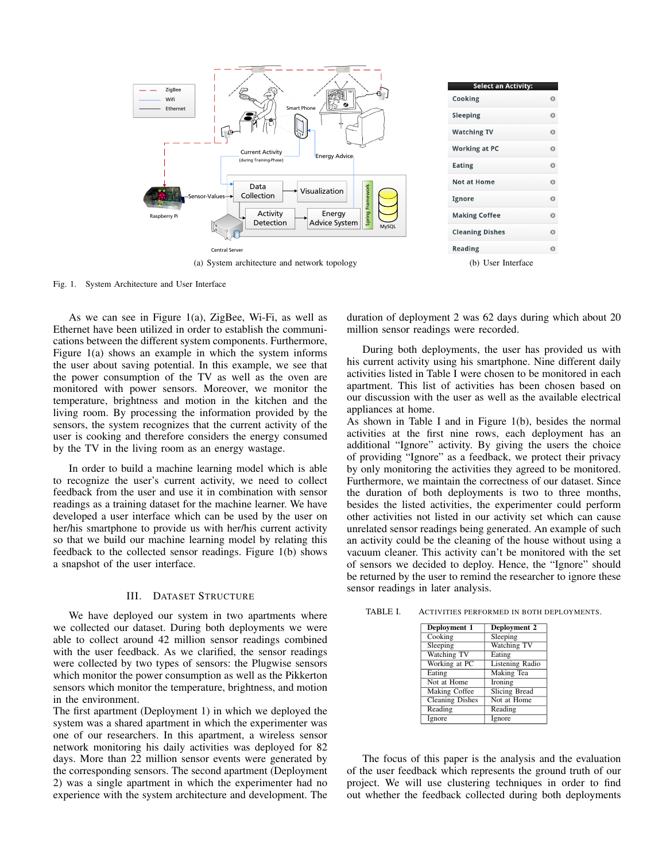

| <b>Select an Activity:</b> |           |
|----------------------------|-----------|
| Cooking                    | O         |
| Sleeping                   | O         |
| <b>Watching TV</b>         | $\bullet$ |
| <b>Working at PC</b>       | ø         |
| <b>Eating</b>              | O         |
| <b>Not at Home</b>         | $\circ$   |
| Ignore                     | O         |
| <b>Making Coffee</b>       | o         |
| <b>Cleaning Dishes</b>     | o         |
| <b>Reading</b>             | ø         |
|                            |           |

Fig. 1. System Architecture and User Interface

As we can see in Figure 1(a), ZigBee, Wi-Fi, as well as Ethernet have been utilized in order to establish the communications between the different system components. Furthermore, Figure 1(a) shows an example in which the system informs the user about saving potential. In this example, we see that the power consumption of the TV as well as the oven are monitored with power sensors. Moreover, we monitor the temperature, brightness and motion in the kitchen and the living room. By processing the information provided by the sensors, the system recognizes that the current activity of the user is cooking and therefore considers the energy consumed by the TV in the living room as an energy wastage.

In order to build a machine learning model which is able to recognize the user's current activity, we need to collect feedback from the user and use it in combination with sensor readings as a training dataset for the machine learner. We have developed a user interface which can be used by the user on her/his smartphone to provide us with her/his current activity so that we build our machine learning model by relating this feedback to the collected sensor readings. Figure 1(b) shows a snapshot of the user interface.

### III. DATASET STRUCTURE

We have deployed our system in two apartments where we collected our dataset. During both deployments we were able to collect around 42 million sensor readings combined with the user feedback. As we clarified, the sensor readings were collected by two types of sensors: the Plugwise sensors which monitor the power consumption as well as the Pikkerton sensors which monitor the temperature, brightness, and motion in the environment.

The first apartment (Deployment 1) in which we deployed the system was a shared apartment in which the experimenter was one of our researchers. In this apartment, a wireless sensor network monitoring his daily activities was deployed for 82 days. More than 22 million sensor events were generated by the corresponding sensors. The second apartment (Deployment 2) was a single apartment in which the experimenter had no experience with the system architecture and development. The duration of deployment 2 was 62 days during which about 20 million sensor readings were recorded.

During both deployments, the user has provided us with his current activity using his smartphone. Nine different daily activities listed in Table I were chosen to be monitored in each apartment. This list of activities has been chosen based on our discussion with the user as well as the available electrical appliances at home.

As shown in Table I and in Figure 1(b), besides the normal activities at the first nine rows, each deployment has an additional "Ignore" activity. By giving the users the choice of providing "Ignore" as a feedback, we protect their privacy by only monitoring the activities they agreed to be monitored. Furthermore, we maintain the correctness of our dataset. Since the duration of both deployments is two to three months, besides the listed activities, the experimenter could perform other activities not listed in our activity set which can cause unrelated sensor readings being generated. An example of such an activity could be the cleaning of the house without using a vacuum cleaner. This activity can't be monitored with the set of sensors we decided to deploy. Hence, the "Ignore" should be returned by the user to remind the researcher to ignore these sensor readings in later analysis.

| ACTIVITIES PERFORMED IN BOTH DEPLOYMENTS. |
|-------------------------------------------|
|                                           |

| Deployment 1           | Deployment 2    |
|------------------------|-----------------|
| Cooking                | Sleeping        |
| Sleeping               | Watching TV     |
| Watching TV            | Eating          |
| Working at PC          | Listening Radio |
| Eating                 | Making Tea      |
| Not at Home            | Ironing         |
| Making Coffee          | Slicing Bread   |
| <b>Cleaning Dishes</b> | Not at Home     |
| Reading                | Reading         |
| Ignore                 | Ignore          |

The focus of this paper is the analysis and the evaluation of the user feedback which represents the ground truth of our project. We will use clustering techniques in order to find out whether the feedback collected during both deployments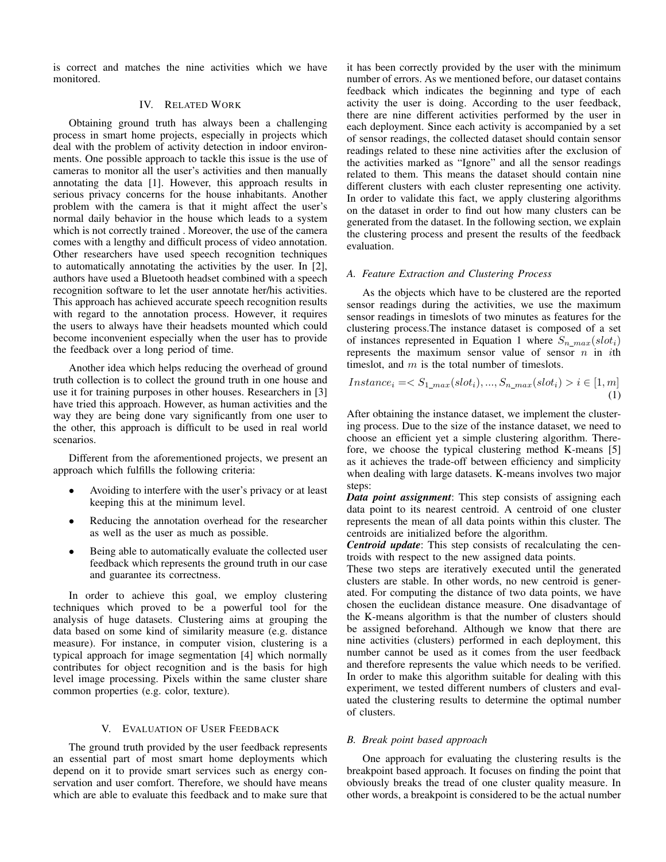is correct and matches the nine activities which we have monitored.

## IV. RELATED WORK

Obtaining ground truth has always been a challenging process in smart home projects, especially in projects which deal with the problem of activity detection in indoor environments. One possible approach to tackle this issue is the use of cameras to monitor all the user's activities and then manually annotating the data [1]. However, this approach results in serious privacy concerns for the house inhabitants. Another problem with the camera is that it might affect the user's normal daily behavior in the house which leads to a system which is not correctly trained . Moreover, the use of the camera comes with a lengthy and difficult process of video annotation. Other researchers have used speech recognition techniques to automatically annotating the activities by the user. In [2], authors have used a Bluetooth headset combined with a speech recognition software to let the user annotate her/his activities. This approach has achieved accurate speech recognition results with regard to the annotation process. However, it requires the users to always have their headsets mounted which could become inconvenient especially when the user has to provide the feedback over a long period of time.

Another idea which helps reducing the overhead of ground truth collection is to collect the ground truth in one house and use it for training purposes in other houses. Researchers in [3] have tried this approach. However, as human activities and the way they are being done vary significantly from one user to the other, this approach is difficult to be used in real world scenarios.

Different from the aforementioned projects, we present an approach which fulfills the following criteria:

- Avoiding to interfere with the user's privacy or at least keeping this at the minimum level.
- Reducing the annotation overhead for the researcher as well as the user as much as possible.
- Being able to automatically evaluate the collected user feedback which represents the ground truth in our case and guarantee its correctness.

In order to achieve this goal, we employ clustering techniques which proved to be a powerful tool for the analysis of huge datasets. Clustering aims at grouping the data based on some kind of similarity measure (e.g. distance measure). For instance, in computer vision, clustering is a typical approach for image segmentation [4] which normally contributes for object recognition and is the basis for high level image processing. Pixels within the same cluster share common properties (e.g. color, texture).

### V. EVALUATION OF USER FEEDBACK

The ground truth provided by the user feedback represents an essential part of most smart home deployments which depend on it to provide smart services such as energy conservation and user comfort. Therefore, we should have means which are able to evaluate this feedback and to make sure that it has been correctly provided by the user with the minimum number of errors. As we mentioned before, our dataset contains feedback which indicates the beginning and type of each activity the user is doing. According to the user feedback, there are nine different activities performed by the user in each deployment. Since each activity is accompanied by a set of sensor readings, the collected dataset should contain sensor readings related to these nine activities after the exclusion of the activities marked as "Ignore" and all the sensor readings related to them. This means the dataset should contain nine different clusters with each cluster representing one activity. In order to validate this fact, we apply clustering algorithms on the dataset in order to find out how many clusters can be generated from the dataset. In the following section, we explain the clustering process and present the results of the feedback evaluation.

### *A. Feature Extraction and Clustering Process*

As the objects which have to be clustered are the reported sensor readings during the activities, we use the maximum sensor readings in timeslots of two minutes as features for the clustering process.The instance dataset is composed of a set of instances represented in Equation 1 where  $S_{n \, max}(slot_i)$ represents the maximum sensor value of sensor  $n$  in ith timeslot, and  $m$  is the total number of timeslots.

$$
Instance_i =  i \in [1, m]
$$
\n(1)

After obtaining the instance dataset, we implement the clustering process. Due to the size of the instance dataset, we need to choose an efficient yet a simple clustering algorithm. Therefore, we choose the typical clustering method K-means [5] as it achieves the trade-off between efficiency and simplicity when dealing with large datasets. K-means involves two major steps:

*Data point assignment*: This step consists of assigning each data point to its nearest centroid. A centroid of one cluster represents the mean of all data points within this cluster. The centroids are initialized before the algorithm.

*Centroid update*: This step consists of recalculating the centroids with respect to the new assigned data points.

These two steps are iteratively executed until the generated clusters are stable. In other words, no new centroid is generated. For computing the distance of two data points, we have chosen the euclidean distance measure. One disadvantage of the K-means algorithm is that the number of clusters should be assigned beforehand. Although we know that there are nine activities (clusters) performed in each deployment, this number cannot be used as it comes from the user feedback and therefore represents the value which needs to be verified. In order to make this algorithm suitable for dealing with this experiment, we tested different numbers of clusters and evaluated the clustering results to determine the optimal number of clusters.

### *B. Break point based approach*

One approach for evaluating the clustering results is the breakpoint based approach. It focuses on finding the point that obviously breaks the tread of one cluster quality measure. In other words, a breakpoint is considered to be the actual number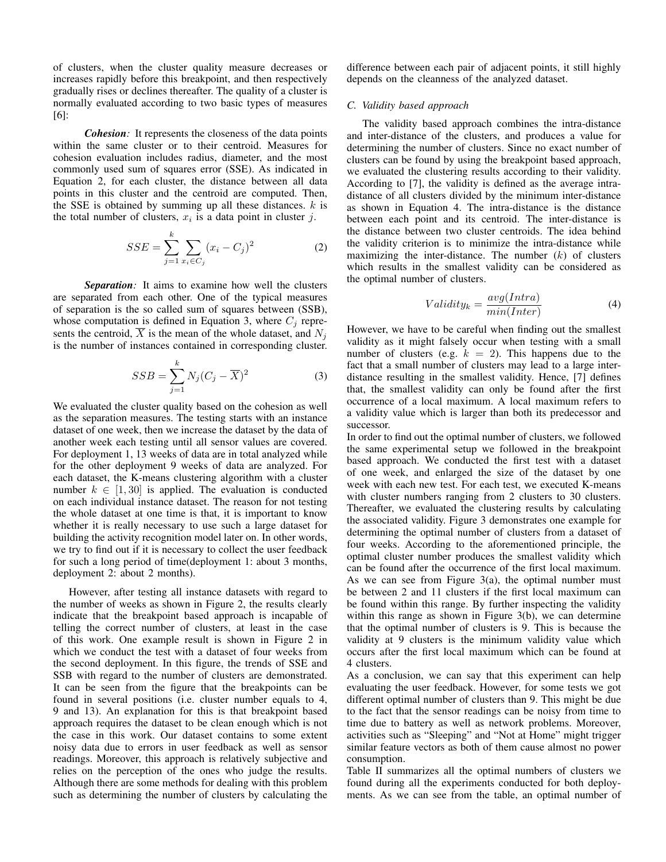of clusters, when the cluster quality measure decreases or increases rapidly before this breakpoint, and then respectively gradually rises or declines thereafter. The quality of a cluster is normally evaluated according to two basic types of measures [6]:

*Cohesion:* It represents the closeness of the data points within the same cluster or to their centroid. Measures for cohesion evaluation includes radius, diameter, and the most commonly used sum of squares error (SSE). As indicated in Equation 2, for each cluster, the distance between all data points in this cluster and the centroid are computed. Then, the SSE is obtained by summing up all these distances.  $k$  is the total number of clusters,  $x_i$  is a data point in cluster j.

$$
SSE = \sum_{j=1}^{k} \sum_{x_i \in C_j} (x_i - C_j)^2
$$
 (2)

*Separation:* It aims to examine how well the clusters are separated from each other. One of the typical measures of separation is the so called sum of squares between (SSB), whose computation is defined in Equation 3, where  $C_j$  represents the centroid,  $\overline{X}$  is the mean of the whole dataset, and  $N_j$ is the number of instances contained in corresponding cluster.

$$
SSB = \sum_{j=1}^{k} N_j (C_j - \overline{X})^2
$$
 (3)

We evaluated the cluster quality based on the cohesion as well as the separation measures. The testing starts with an instance dataset of one week, then we increase the dataset by the data of another week each testing until all sensor values are covered. For deployment 1, 13 weeks of data are in total analyzed while for the other deployment 9 weeks of data are analyzed. For each dataset, the K-means clustering algorithm with a cluster number  $k \in [1, 30]$  is applied. The evaluation is conducted on each individual instance dataset. The reason for not testing the whole dataset at one time is that, it is important to know whether it is really necessary to use such a large dataset for building the activity recognition model later on. In other words, we try to find out if it is necessary to collect the user feedback for such a long period of time(deployment 1: about 3 months, deployment 2: about 2 months).

However, after testing all instance datasets with regard to the number of weeks as shown in Figure 2, the results clearly indicate that the breakpoint based approach is incapable of telling the correct number of clusters, at least in the case of this work. One example result is shown in Figure 2 in which we conduct the test with a dataset of four weeks from the second deployment. In this figure, the trends of SSE and SSB with regard to the number of clusters are demonstrated. It can be seen from the figure that the breakpoints can be found in several positions (i.e. cluster number equals to 4, 9 and 13). An explanation for this is that breakpoint based approach requires the dataset to be clean enough which is not the case in this work. Our dataset contains to some extent noisy data due to errors in user feedback as well as sensor readings. Moreover, this approach is relatively subjective and relies on the perception of the ones who judge the results. Although there are some methods for dealing with this problem such as determining the number of clusters by calculating the difference between each pair of adjacent points, it still highly depends on the cleanness of the analyzed dataset.

#### *C. Validity based approach*

The validity based approach combines the intra-distance and inter-distance of the clusters, and produces a value for determining the number of clusters. Since no exact number of clusters can be found by using the breakpoint based approach, we evaluated the clustering results according to their validity. According to [7], the validity is defined as the average intradistance of all clusters divided by the minimum inter-distance as shown in Equation 4. The intra-distance is the distance between each point and its centroid. The inter-distance is the distance between two cluster centroids. The idea behind the validity criterion is to minimize the intra-distance while maximizing the inter-distance. The number  $(k)$  of clusters which results in the smallest validity can be considered as the optimal number of clusters.

$$
Validity_k = \frac{avg(Intra)}{min(Inter)}\tag{4}
$$

However, we have to be careful when finding out the smallest validity as it might falsely occur when testing with a small number of clusters (e.g.  $k = 2$ ). This happens due to the fact that a small number of clusters may lead to a large interdistance resulting in the smallest validity. Hence, [7] defines that, the smallest validity can only be found after the first occurrence of a local maximum. A local maximum refers to a validity value which is larger than both its predecessor and successor.

In order to find out the optimal number of clusters, we followed the same experimental setup we followed in the breakpoint based approach. We conducted the first test with a dataset of one week, and enlarged the size of the dataset by one week with each new test. For each test, we executed K-means with cluster numbers ranging from 2 clusters to 30 clusters. Thereafter, we evaluated the clustering results by calculating the associated validity. Figure 3 demonstrates one example for determining the optimal number of clusters from a dataset of four weeks. According to the aforementioned principle, the optimal cluster number produces the smallest validity which can be found after the occurrence of the first local maximum. As we can see from Figure 3(a), the optimal number must be between 2 and 11 clusters if the first local maximum can be found within this range. By further inspecting the validity within this range as shown in Figure 3(b), we can determine that the optimal number of clusters is 9. This is because the validity at 9 clusters is the minimum validity value which occurs after the first local maximum which can be found at 4 clusters.

As a conclusion, we can say that this experiment can help evaluating the user feedback. However, for some tests we got different optimal number of clusters than 9. This might be due to the fact that the sensor readings can be noisy from time to time due to battery as well as network problems. Moreover, activities such as "Sleeping" and "Not at Home" might trigger similar feature vectors as both of them cause almost no power consumption.

Table II summarizes all the optimal numbers of clusters we found during all the experiments conducted for both deployments. As we can see from the table, an optimal number of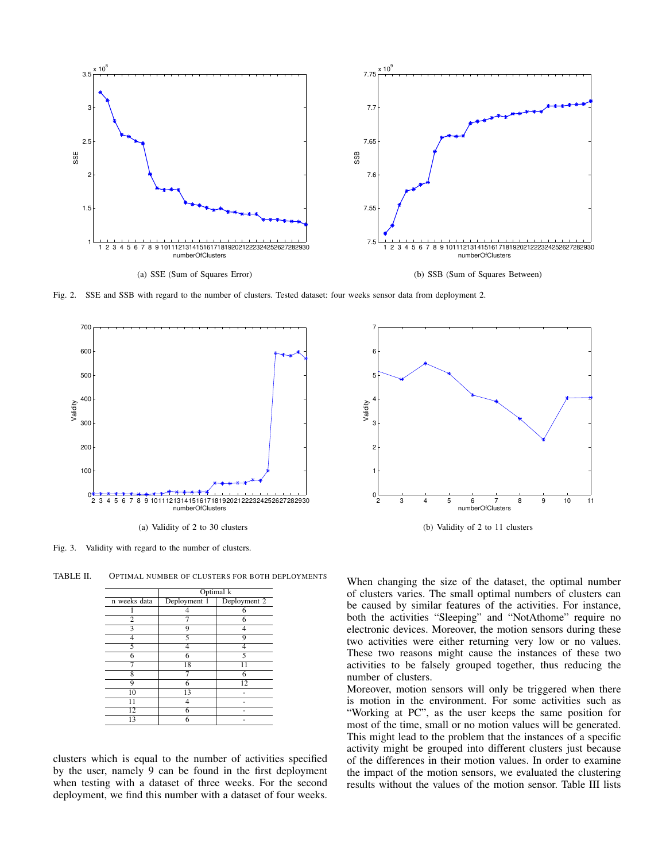

Fig. 2. SSE and SSB with regard to the number of clusters. Tested dataset: four weeks sensor data from deployment 2.





(b) Validity of 2 to 11 clusters

When changing the size of the dataset, the optimal number of clusters varies. The small optimal numbers of clusters can be caused by similar features of the activities. For instance, both the activities "Sleeping" and "NotAthome" require no electronic devices. Moreover, the motion sensors during these two activities were either returning very low or no values. These two reasons might cause the instances of these two activities to be falsely grouped together, thus reducing the number of clusters.

Moreover, motion sensors will only be triggered when there is motion in the environment. For some activities such as "Working at PC", as the user keeps the same position for most of the time, small or no motion values will be generated. This might lead to the problem that the instances of a specific activity might be grouped into different clusters just because of the differences in their motion values. In order to examine the impact of the motion sensors, we evaluated the clustering results without the values of the motion sensor. Table III lists

TABLE II. OPTIMAL NUMBER OF CLUSTERS FOR BOTH DEPLOYMENTS

Fig. 3. Validity with regard to the number of clusters.

|                 | Optimal k    |                          |  |
|-----------------|--------------|--------------------------|--|
| n weeks data    | Deployment 1 | Deployment 2             |  |
|                 | 4            | 6                        |  |
| $\overline{c}$  |              | 6                        |  |
| 3               | 9            | 4                        |  |
|                 | 5            | Q                        |  |
| 5               | Δ            |                          |  |
| 6               | 6            | $\overline{\mathcal{L}}$ |  |
|                 | 18           | 11                       |  |
| 8               |              | 6                        |  |
| 9               | 6            | $\overline{12}$          |  |
| $1\overline{0}$ | 13           |                          |  |
|                 | 4            |                          |  |
| 12              | 6            |                          |  |
| 13              | 6            |                          |  |

clusters which is equal to the number of activities specified by the user, namely 9 can be found in the first deployment when testing with a dataset of three weeks. For the second deployment, we find this number with a dataset of four weeks.